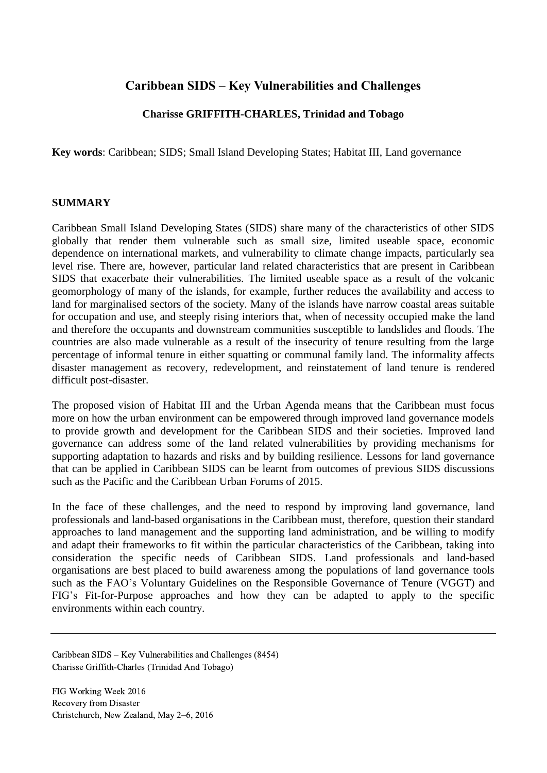# **Caribbean SIDS – Key Vulnerabilities and Challenges**

# **Charisse GRIFFITH-CHARLES, Trinidad and Tobago**

**Key words**: Caribbean; SIDS; Small Island Developing States; Habitat III, Land governance

### **SUMMARY**

Caribbean Small Island Developing States (SIDS) share many of the characteristics of other SIDS globally that render them vulnerable such as small size, limited useable space, economic dependence on international markets, and vulnerability to climate change impacts, particularly sea level rise. There are, however, particular land related characteristics that are present in Caribbean SIDS that exacerbate their vulnerabilities. The limited useable space as a result of the volcanic geomorphology of many of the islands, for example, further reduces the availability and access to land for marginalised sectors of the society. Many of the islands have narrow coastal areas suitable for occupation and use, and steeply rising interiors that, when of necessity occupied make the land and therefore the occupants and downstream communities susceptible to landslides and floods. The countries are also made vulnerable as a result of the insecurity of tenure resulting from the large percentage of informal tenure in either squatting or communal family land. The informality affects disaster management as recovery, redevelopment, and reinstatement of land tenure is rendered difficult post-disaster.

The proposed vision of Habitat III and the Urban Agenda means that the Caribbean must focus more on how the urban environment can be empowered through improved land governance models to provide growth and development for the Caribbean SIDS and their societies. Improved land governance can address some of the land related vulnerabilities by providing mechanisms for supporting adaptation to hazards and risks and by building resilience. Lessons for land governance that can be applied in Caribbean SIDS can be learnt from outcomes of previous SIDS discussions such as the Pacific and the Caribbean Urban Forums of 2015.

In the face of these challenges, and the need to respond by improving land governance, land professionals and land-based organisations in the Caribbean must, therefore, question their standard approaches to land management and the supporting land administration, and be willing to modify and adapt their frameworks to fit within the particular characteristics of the Caribbean, taking into consideration the specific needs of Caribbean SIDS. Land professionals and land-based organisations are best placed to build awareness among the populations of land governance tools such as the FAO's Voluntary Guidelines on the Responsible Governance of Tenure (VGGT) and FIG's Fit-for-Purpose approaches and how they can be adapted to apply to the specific environments within each country.

Caribbean SIDS – Key Vulnerabilities and Challenges (8454) Charisse Griffith-Charles (Trinidad And Tobago)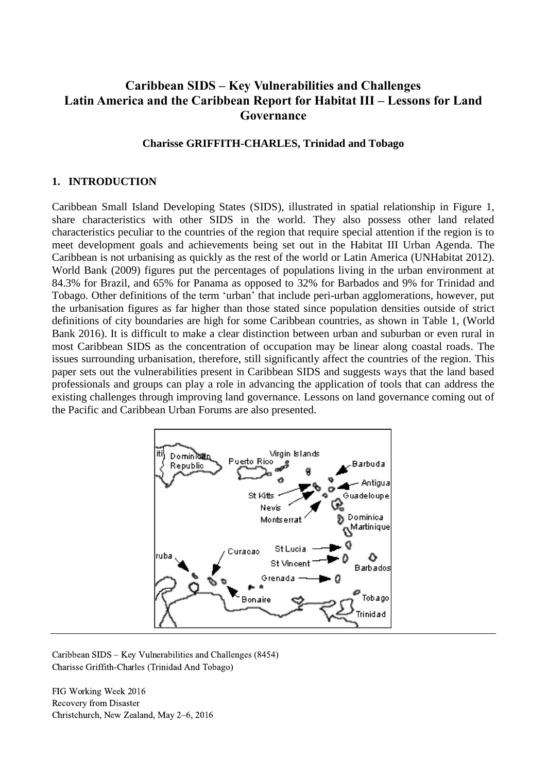# **Caribbean SIDS – Key Vulnerabilities and Challenges Latin America and the Caribbean Report for Habitat III – Lessons for Land Governance**

#### **Charisse GRIFFITH-CHARLES, Trinidad and Tobago**

#### **1. INTRODUCTION**

Caribbean Small Island Developing States (SIDS), illustrated in spatial relationship in Figure 1, share characteristics with other SIDS in the world. They also possess other land related characteristics peculiar to the countries of the region that require special attention if the region is to meet development goals and achievements being set out in the Habitat III Urban Agenda. The Caribbean is not urbanising as quickly as the rest of the world or Latin America (UNHabitat 2012). World Bank (2009) figures put the percentages of populations living in the urban environment at 84.3% for Brazil, and 65% for Panama as opposed to 32% for Barbados and 9% for Trinidad and Tobago. Other definitions of the term 'urban' that include peri-urban agglomerations, however, put the urbanisation figures as far higher than those stated since population densities outside of strict definitions of city boundaries are high for some Caribbean countries, as shown in Table 1, (World Bank 2016). It is difficult to make a clear distinction between urban and suburban or even rural in most Caribbean SIDS as the concentration of occupation may be linear along coastal roads. The issues surrounding urbanisation, therefore, still significantly affect the countries of the region. This paper sets out the vulnerabilities present in Caribbean SIDS and suggests ways that the land based professionals and groups can play a role in advancing the application of tools that can address the existing challenges through improving land governance. Lessons on land governance coming out of the Pacific and Caribbean Urban Forums are also presented.



Caribbean SIDS – Key Vulnerabilities and Challenges (8454) Charisse Griffith-Charles (Trinidad And Tobago)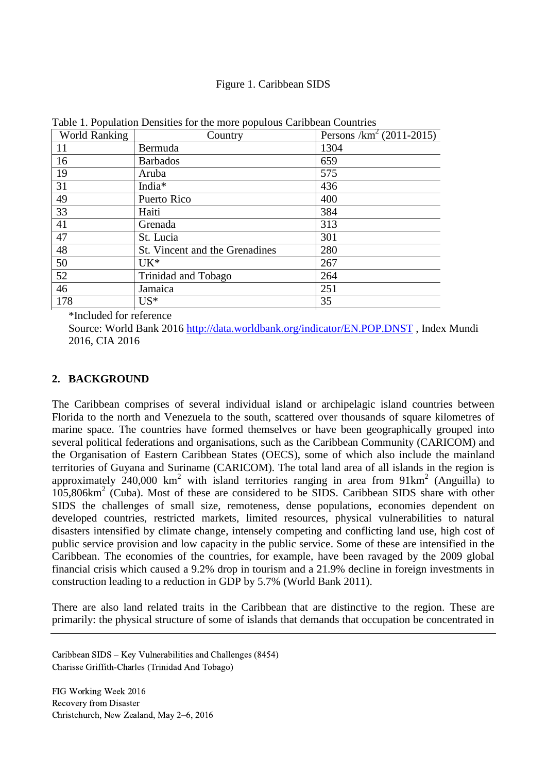#### Figure 1. Caribbean SIDS

| <b>World Ranking</b> | Country                        | Persons $/km^2$ (2011-2015) |
|----------------------|--------------------------------|-----------------------------|
| 11                   | Bermuda                        | 1304                        |
| 16                   | <b>Barbados</b>                | 659                         |
| 19                   | Aruba                          | 575                         |
| 31                   | India*                         | 436                         |
| 49                   | Puerto Rico                    | 400                         |
| 33                   | Haiti                          | 384                         |
| 41                   | Grenada                        | 313                         |
| 47                   | St. Lucia                      | 301                         |
| 48                   | St. Vincent and the Grenadines | 280                         |
| 50                   | $UK*$                          | 267                         |
| 52                   | Trinidad and Tobago            | 264                         |
| 46                   | Jamaica                        | 251                         |
| 178                  | $US^*$                         | 35                          |

Table 1. Population Densities for the more populous Caribbean Countries

\*Included for reference

Source: World Bank 2016 <http://data.worldbank.org/indicator/EN.POP.DNST> , Index Mundi 2016, CIA 2016

#### **2. BACKGROUND**

The Caribbean comprises of several individual island or archipelagic island countries between Florida to the north and Venezuela to the south, scattered over thousands of square kilometres of marine space. The countries have formed themselves or have been geographically grouped into several political federations and organisations, such as the Caribbean Community (CARICOM) and the Organisation of Eastern Caribbean States (OECS), some of which also include the mainland territories of Guyana and Suriname (CARICOM). The total land area of all islands in the region is approximately  $240,000$  km<sup>2</sup> with island territories ranging in area from  $91 \text{km}^2$  (Anguilla) to 105,806km<sup>2</sup> (Cuba). Most of these are considered to be SIDS. Caribbean SIDS share with other SIDS the challenges of small size, remoteness, dense populations, economies dependent on developed countries, restricted markets, limited resources, physical vulnerabilities to natural disasters intensified by climate change, intensely competing and conflicting land use, high cost of public service provision and low capacity in the public service. Some of these are intensified in the Caribbean. The economies of the countries, for example, have been ravaged by the 2009 global financial crisis which caused a 9.2% drop in tourism and a 21.9% decline in foreign investments in construction leading to a reduction in GDP by 5.7% (World Bank 2011).

There are also land related traits in the Caribbean that are distinctive to the region. These are primarily: the physical structure of some of islands that demands that occupation be concentrated in

Caribbean SIDS – Key Vulnerabilities and Challenges (8454) Charisse Griffith-Charles (Trinidad And Tobago)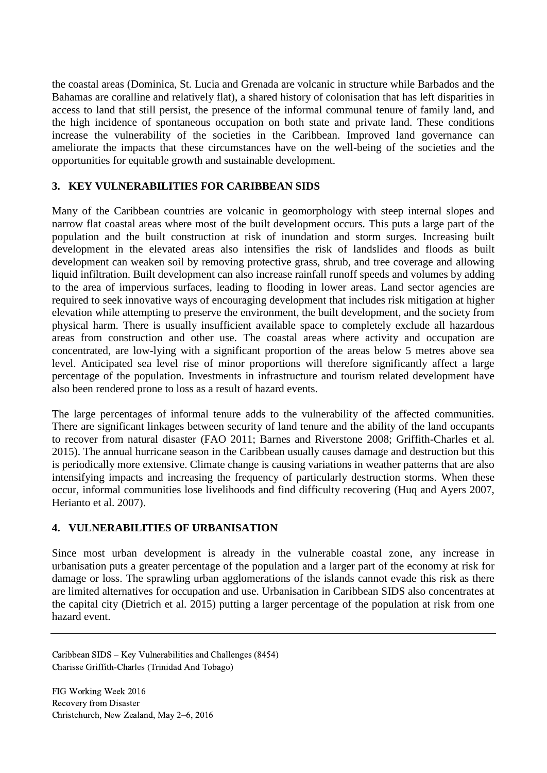the coastal areas (Dominica, St. Lucia and Grenada are volcanic in structure while Barbados and the Bahamas are coralline and relatively flat), a shared history of colonisation that has left disparities in access to land that still persist, the presence of the informal communal tenure of family land, and the high incidence of spontaneous occupation on both state and private land. These conditions increase the vulnerability of the societies in the Caribbean. Improved land governance can ameliorate the impacts that these circumstances have on the well-being of the societies and the opportunities for equitable growth and sustainable development.

# **3. KEY VULNERABILITIES FOR CARIBBEAN SIDS**

Many of the Caribbean countries are volcanic in geomorphology with steep internal slopes and narrow flat coastal areas where most of the built development occurs. This puts a large part of the population and the built construction at risk of inundation and storm surges. Increasing built development in the elevated areas also intensifies the risk of landslides and floods as built development can weaken soil by removing protective grass, shrub, and tree coverage and allowing liquid infiltration. Built development can also increase rainfall runoff speeds and volumes by adding to the area of impervious surfaces, leading to flooding in lower areas. Land sector agencies are required to seek innovative ways of encouraging development that includes risk mitigation at higher elevation while attempting to preserve the environment, the built development, and the society from physical harm. There is usually insufficient available space to completely exclude all hazardous areas from construction and other use. The coastal areas where activity and occupation are concentrated, are low-lying with a significant proportion of the areas below 5 metres above sea level. Anticipated sea level rise of minor proportions will therefore significantly affect a large percentage of the population. Investments in infrastructure and tourism related development have also been rendered prone to loss as a result of hazard events.

The large percentages of informal tenure adds to the vulnerability of the affected communities. There are significant linkages between security of land tenure and the ability of the land occupants to recover from natural disaster (FAO 2011; Barnes and Riverstone 2008; Griffith-Charles et al. 2015). The annual hurricane season in the Caribbean usually causes damage and destruction but this is periodically more extensive. Climate change is causing variations in weather patterns that are also intensifying impacts and increasing the frequency of particularly destruction storms. When these occur, informal communities lose livelihoods and find difficulty recovering (Huq and Ayers 2007, Herianto et al. 2007).

# **4. VULNERABILITIES OF URBANISATION**

Since most urban development is already in the vulnerable coastal zone, any increase in urbanisation puts a greater percentage of the population and a larger part of the economy at risk for damage or loss. The sprawling urban agglomerations of the islands cannot evade this risk as there are limited alternatives for occupation and use. Urbanisation in Caribbean SIDS also concentrates at the capital city (Dietrich et al. 2015) putting a larger percentage of the population at risk from one hazard event.

Caribbean SIDS – Key Vulnerabilities and Challenges (8454) Charisse Griffith-Charles (Trinidad And Tobago)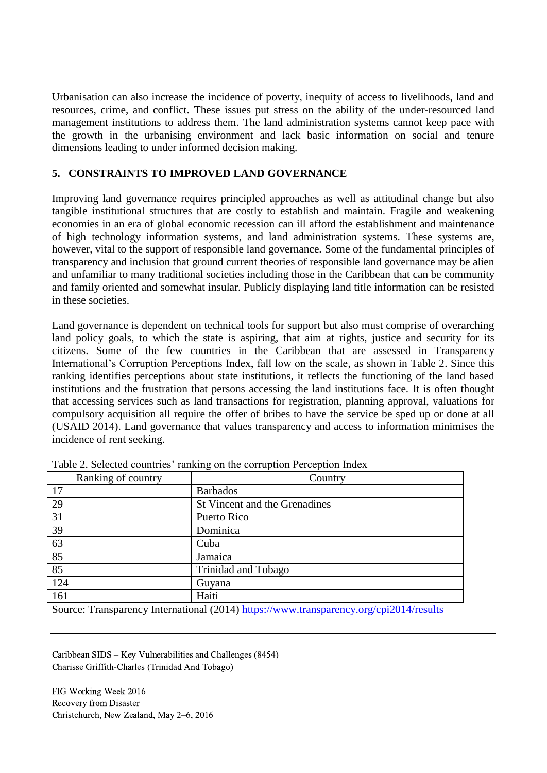Urbanisation can also increase the incidence of poverty, inequity of access to livelihoods, land and resources, crime, and conflict. These issues put stress on the ability of the under-resourced land management institutions to address them. The land administration systems cannot keep pace with the growth in the urbanising environment and lack basic information on social and tenure dimensions leading to under informed decision making.

# **5. CONSTRAINTS TO IMPROVED LAND GOVERNANCE**

Improving land governance requires principled approaches as well as attitudinal change but also tangible institutional structures that are costly to establish and maintain. Fragile and weakening economies in an era of global economic recession can ill afford the establishment and maintenance of high technology information systems, and land administration systems. These systems are, however, vital to the support of responsible land governance. Some of the fundamental principles of transparency and inclusion that ground current theories of responsible land governance may be alien and unfamiliar to many traditional societies including those in the Caribbean that can be community and family oriented and somewhat insular. Publicly displaying land title information can be resisted in these societies.

Land governance is dependent on technical tools for support but also must comprise of overarching land policy goals, to which the state is aspiring, that aim at rights, justice and security for its citizens. Some of the few countries in the Caribbean that are assessed in Transparency International's Corruption Perceptions Index, fall low on the scale, as shown in Table 2. Since this ranking identifies perceptions about state institutions, it reflects the functioning of the land based institutions and the frustration that persons accessing the land institutions face. It is often thought that accessing services such as land transactions for registration, planning approval, valuations for compulsory acquisition all require the offer of bribes to have the service be sped up or done at all (USAID 2014). Land governance that values transparency and access to information minimises the incidence of rent seeking.

| Ranking of country | Country                       |
|--------------------|-------------------------------|
| 17                 | <b>Barbados</b>               |
| 29                 | St Vincent and the Grenadines |
| 31                 | Puerto Rico                   |
| 39                 | Dominica                      |
| 63                 | Cuba                          |
| 85                 | Jamaica                       |
| 85                 | Trinidad and Tobago           |
| 124                | Guyana                        |
| 161                | Haiti                         |

Table 2. Selected countries' ranking on the corruption Perception Index

Source: Transparency International (2014)<https://www.transparency.org/cpi2014/results>

Caribbean SIDS – Key Vulnerabilities and Challenges (8454) Charisse Griffith-Charles (Trinidad And Tobago)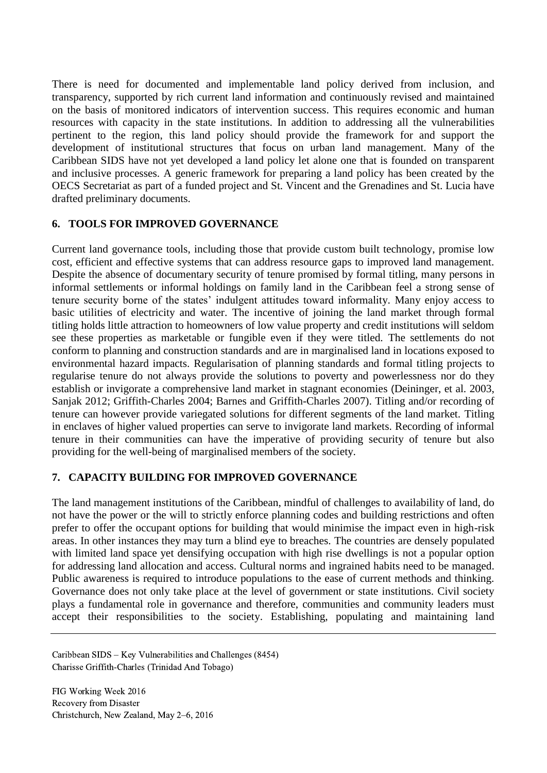There is need for documented and implementable land policy derived from inclusion, and transparency, supported by rich current land information and continuously revised and maintained on the basis of monitored indicators of intervention success. This requires economic and human resources with capacity in the state institutions. In addition to addressing all the vulnerabilities pertinent to the region, this land policy should provide the framework for and support the development of institutional structures that focus on urban land management. Many of the Caribbean SIDS have not yet developed a land policy let alone one that is founded on transparent and inclusive processes. A generic framework for preparing a land policy has been created by the OECS Secretariat as part of a funded project and St. Vincent and the Grenadines and St. Lucia have drafted preliminary documents.

## **6. TOOLS FOR IMPROVED GOVERNANCE**

Current land governance tools, including those that provide custom built technology, promise low cost, efficient and effective systems that can address resource gaps to improved land management. Despite the absence of documentary security of tenure promised by formal titling, many persons in informal settlements or informal holdings on family land in the Caribbean feel a strong sense of tenure security borne of the states' indulgent attitudes toward informality. Many enjoy access to basic utilities of electricity and water. The incentive of joining the land market through formal titling holds little attraction to homeowners of low value property and credit institutions will seldom see these properties as marketable or fungible even if they were titled. The settlements do not conform to planning and construction standards and are in marginalised land in locations exposed to environmental hazard impacts. Regularisation of planning standards and formal titling projects to regularise tenure do not always provide the solutions to poverty and powerlessness nor do they establish or invigorate a comprehensive land market in stagnant economies (Deininger, et al. 2003, Sanjak 2012; Griffith-Charles 2004; Barnes and Griffith-Charles 2007). Titling and/or recording of tenure can however provide variegated solutions for different segments of the land market. Titling in enclaves of higher valued properties can serve to invigorate land markets. Recording of informal tenure in their communities can have the imperative of providing security of tenure but also providing for the well-being of marginalised members of the society.

## **7. CAPACITY BUILDING FOR IMPROVED GOVERNANCE**

The land management institutions of the Caribbean, mindful of challenges to availability of land, do not have the power or the will to strictly enforce planning codes and building restrictions and often prefer to offer the occupant options for building that would minimise the impact even in high-risk areas. In other instances they may turn a blind eye to breaches. The countries are densely populated with limited land space yet densifying occupation with high rise dwellings is not a popular option for addressing land allocation and access. Cultural norms and ingrained habits need to be managed. Public awareness is required to introduce populations to the ease of current methods and thinking. Governance does not only take place at the level of government or state institutions. Civil society plays a fundamental role in governance and therefore, communities and community leaders must accept their responsibilities to the society. Establishing, populating and maintaining land

Caribbean SIDS – Key Vulnerabilities and Challenges (8454) Charisse Griffith-Charles (Trinidad And Tobago)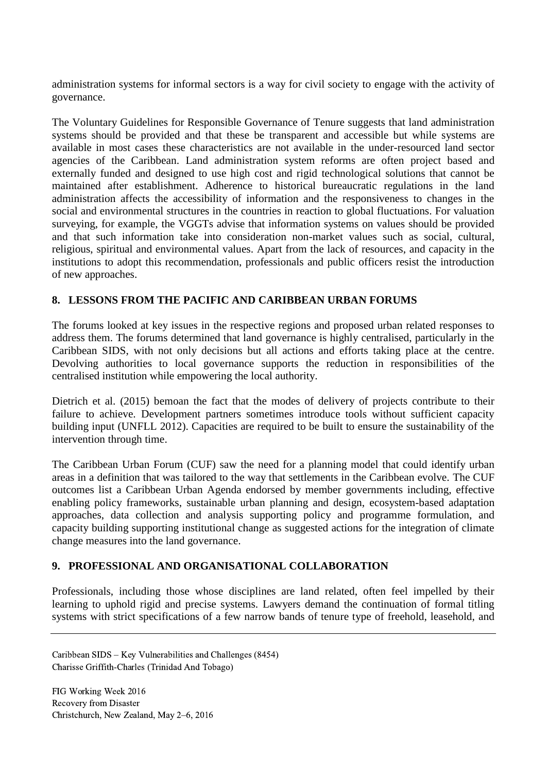administration systems for informal sectors is a way for civil society to engage with the activity of governance.

The Voluntary Guidelines for Responsible Governance of Tenure suggests that land administration systems should be provided and that these be transparent and accessible but while systems are available in most cases these characteristics are not available in the under-resourced land sector agencies of the Caribbean. Land administration system reforms are often project based and externally funded and designed to use high cost and rigid technological solutions that cannot be maintained after establishment. Adherence to historical bureaucratic regulations in the land administration affects the accessibility of information and the responsiveness to changes in the social and environmental structures in the countries in reaction to global fluctuations. For valuation surveying, for example, the VGGTs advise that information systems on values should be provided and that such information take into consideration non-market values such as social, cultural, religious, spiritual and environmental values. Apart from the lack of resources, and capacity in the institutions to adopt this recommendation, professionals and public officers resist the introduction of new approaches.

# **8. LESSONS FROM THE PACIFIC AND CARIBBEAN URBAN FORUMS**

The forums looked at key issues in the respective regions and proposed urban related responses to address them. The forums determined that land governance is highly centralised, particularly in the Caribbean SIDS, with not only decisions but all actions and efforts taking place at the centre. Devolving authorities to local governance supports the reduction in responsibilities of the centralised institution while empowering the local authority.

Dietrich et al. (2015) bemoan the fact that the modes of delivery of projects contribute to their failure to achieve. Development partners sometimes introduce tools without sufficient capacity building input (UNFLL 2012). Capacities are required to be built to ensure the sustainability of the intervention through time.

The Caribbean Urban Forum (CUF) saw the need for a planning model that could identify urban areas in a definition that was tailored to the way that settlements in the Caribbean evolve. The CUF outcomes list a Caribbean Urban Agenda endorsed by member governments including, effective enabling policy frameworks, sustainable urban planning and design, ecosystem-based adaptation approaches, data collection and analysis supporting policy and programme formulation, and capacity building supporting institutional change as suggested actions for the integration of climate change measures into the land governance.

## **9. PROFESSIONAL AND ORGANISATIONAL COLLABORATION**

Professionals, including those whose disciplines are land related, often feel impelled by their learning to uphold rigid and precise systems. Lawyers demand the continuation of formal titling systems with strict specifications of a few narrow bands of tenure type of freehold, leasehold, and

Caribbean SIDS – Key Vulnerabilities and Challenges (8454) Charisse Griffith-Charles (Trinidad And Tobago)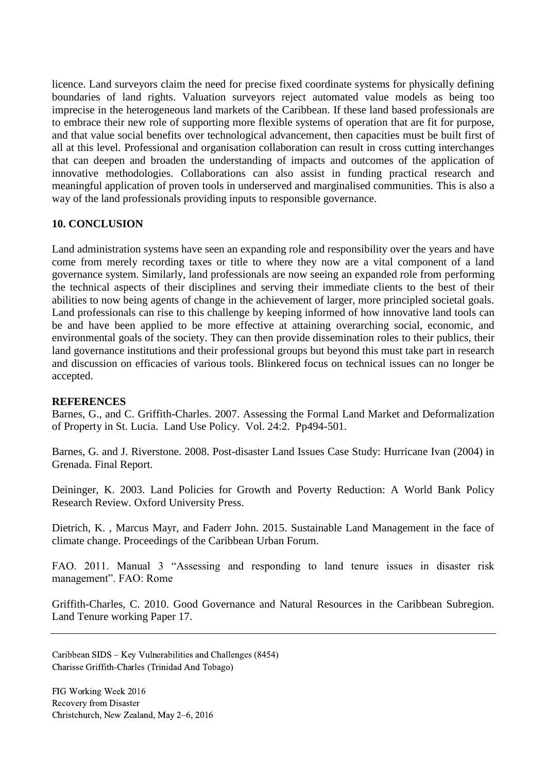licence. Land surveyors claim the need for precise fixed coordinate systems for physically defining boundaries of land rights. Valuation surveyors reject automated value models as being too imprecise in the heterogeneous land markets of the Caribbean. If these land based professionals are to embrace their new role of supporting more flexible systems of operation that are fit for purpose, and that value social benefits over technological advancement, then capacities must be built first of all at this level. Professional and organisation collaboration can result in cross cutting interchanges that can deepen and broaden the understanding of impacts and outcomes of the application of innovative methodologies. Collaborations can also assist in funding practical research and meaningful application of proven tools in underserved and marginalised communities. This is also a way of the land professionals providing inputs to responsible governance.

## **10. CONCLUSION**

Land administration systems have seen an expanding role and responsibility over the years and have come from merely recording taxes or title to where they now are a vital component of a land governance system. Similarly, land professionals are now seeing an expanded role from performing the technical aspects of their disciplines and serving their immediate clients to the best of their abilities to now being agents of change in the achievement of larger, more principled societal goals. Land professionals can rise to this challenge by keeping informed of how innovative land tools can be and have been applied to be more effective at attaining overarching social, economic, and environmental goals of the society. They can then provide dissemination roles to their publics, their land governance institutions and their professional groups but beyond this must take part in research and discussion on efficacies of various tools. Blinkered focus on technical issues can no longer be accepted.

## **REFERENCES**

Barnes, G., and C. Griffith-Charles. 2007. Assessing the Formal Land Market and Deformalization of Property in St. Lucia. Land Use Policy. Vol. 24:2. Pp494-501.

Barnes, G. and J. Riverstone. 2008. Post-disaster Land Issues Case Study: Hurricane Ivan (2004) in Grenada. Final Report.

Deininger, K. 2003. Land Policies for Growth and Poverty Reduction: A World Bank Policy Research Review. Oxford University Press.

Dietrich, K. , Marcus Mayr, and Faderr John. 2015. Sustainable Land Management in the face of climate change. Proceedings of the Caribbean Urban Forum.

FAO. 2011. Manual 3 "Assessing and responding to land tenure issues in disaster risk management". FAO: Rome

Griffith-Charles, C. 2010. Good Governance and Natural Resources in the Caribbean Subregion. Land Tenure working Paper 17.

Caribbean SIDS – Key Vulnerabilities and Challenges (8454) Charisse Griffith-Charles (Trinidad And Tobago)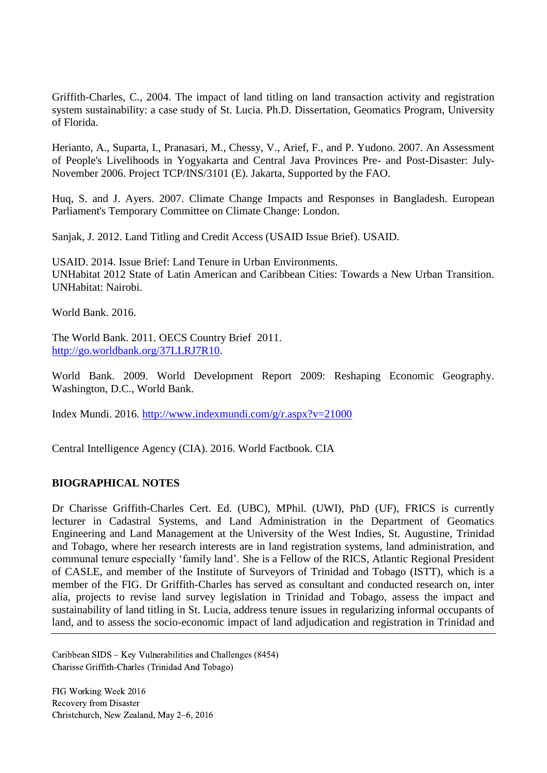Griffith-Charles, C., 2004. The impact of land titling on land transaction activity and registration system sustainability: a case study of St. Lucia. Ph.D. Dissertation, Geomatics Program, University of Florida.

Herianto, A., Suparta, I., Pranasari, M., Chessy, V., Arief, F., and P. Yudono. 2007. An Assessment of People's Livelihoods in Yogyakarta and Central Java Provinces Pre- and Post-Disaster: July-November 2006. Project TCP/INS/3101 (E). Jakarta, Supported by the FAO.

Huq, S. and J. Ayers. 2007. Climate Change Impacts and Responses in Bangladesh. European Parliament's Temporary Committee on Climate Change: London.

Sanjak, J. 2012. Land Titling and Credit Access (USAID Issue Brief). USAID.

USAID. 2014. Issue Brief: Land Tenure in Urban Environments. UNHabitat 2012 State of Latin American and Caribbean Cities: Towards a New Urban Transition. UNHabitat: Nairobi.

World Bank. 2016.

The World Bank. 2011. OECS Country Brief 2011. [http://go.worldbank.org/37LLRJ7R10.](http://go.worldbank.org/37LLRJ7R10)

World Bank. 2009. World Development Report 2009: Reshaping Economic Geography. Washington, D.C., World Bank.

Index Mundi. 2016.<http://www.indexmundi.com/g/r.aspx?v=21000>

Central Intelligence Agency (CIA). 2016. World Factbook. CIA

## **BIOGRAPHICAL NOTES**

Dr Charisse Griffith-Charles Cert. Ed. (UBC), MPhil. (UWI), PhD (UF), FRICS is currently lecturer in Cadastral Systems, and Land Administration in the Department of Geomatics Engineering and Land Management at the University of the West Indies, St. Augustine, Trinidad and Tobago, where her research interests are in land registration systems, land administration, and communal tenure especially 'family land'. She is a Fellow of the RICS, Atlantic Regional President of CASLE, and member of the Institute of Surveyors of Trinidad and Tobago (ISTT), which is a member of the FIG. Dr Griffith-Charles has served as consultant and conducted research on, inter alia, projects to revise land survey legislation in Trinidad and Tobago, assess the impact and sustainability of land titling in St. Lucia, address tenure issues in regularizing informal occupants of land, and to assess the socio-economic impact of land adjudication and registration in Trinidad and

Caribbean SIDS – Key Vulnerabilities and Challenges (8454) Charisse Griffith-Charles (Trinidad And Tobago)